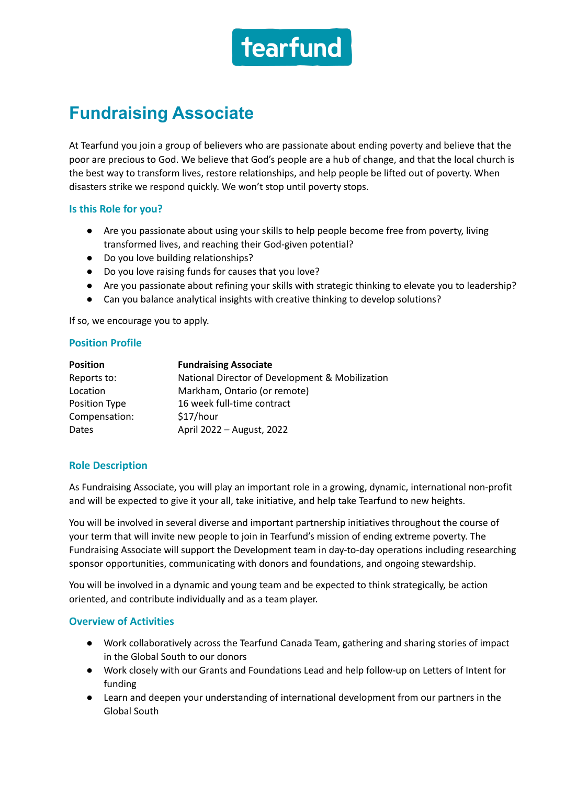

# **Fundraising Associate**

At Tearfund you join a group of believers who are passionate about ending poverty and believe that the poor are precious to God. We believe that God's people are a hub of change, and that the local church is the best way to transform lives, restore relationships, and help people be lifted out of poverty. When disasters strike we respond quickly. We won't stop until poverty stops.

### **Is this Role for you?**

- Are you passionate about using your skills to help people become free from poverty, living transformed lives, and reaching their God-given potential?
- Do you love building relationships?
- Do you love raising funds for causes that you love?
- Are you passionate about refining your skills with strategic thinking to elevate you to leadership?
- Can you balance analytical insights with creative thinking to develop solutions?

If so, we encourage you to apply.

### **Position Profile**

| <b>Position</b> | <b>Fundraising Associate</b>                    |
|-----------------|-------------------------------------------------|
| Reports to:     | National Director of Development & Mobilization |
| Location        | Markham, Ontario (or remote)                    |
| Position Type   | 16 week full-time contract                      |
| Compensation:   | \$17/hour                                       |
| Dates           | April 2022 - August, 2022                       |

## **Role Description**

As Fundraising Associate, you will play an important role in a growing, dynamic, international non-profit and will be expected to give it your all, take initiative, and help take Tearfund to new heights.

You will be involved in several diverse and important partnership initiatives throughout the course of your term that will invite new people to join in Tearfund's mission of ending extreme poverty. The Fundraising Associate will support the Development team in day-to-day operations including researching sponsor opportunities, communicating with donors and foundations, and ongoing stewardship.

You will be involved in a dynamic and young team and be expected to think strategically, be action oriented, and contribute individually and as a team player.

#### **Overview of Activities**

- Work collaboratively across the Tearfund Canada Team, gathering and sharing stories of impact in the Global South to our donors
- Work closely with our Grants and Foundations Lead and help follow-up on Letters of Intent for funding
- Learn and deepen your understanding of international development from our partners in the Global South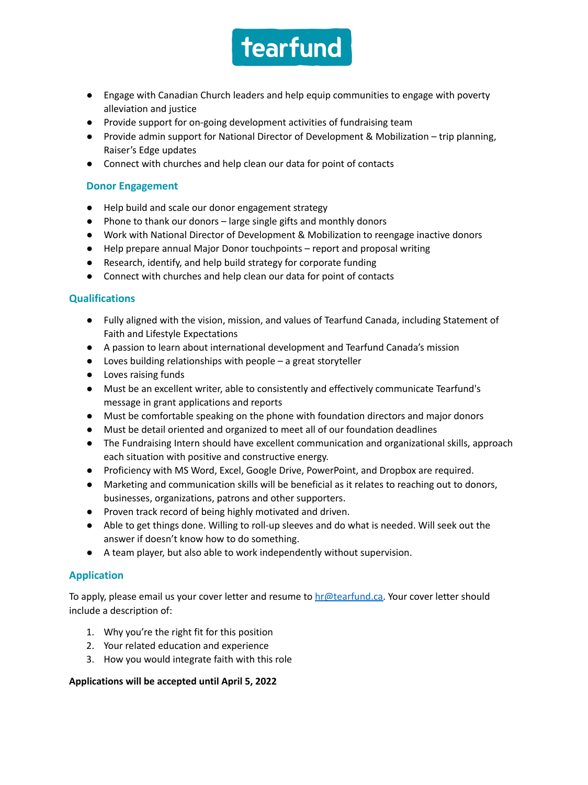

- Engage with Canadian Church leaders and help equip communities to engage with poverty alleviation and justice
- Provide support for on-going development activities of fundraising team
- Provide admin support for National Director of Development & Mobilization trip planning, Raiser's Edge updates
- Connect with churches and help clean our data for point of contacts

# **Donor Engagement**

- Help build and scale our donor engagement strategy
- Phone to thank our donors large single gifts and monthly donors
- Work with National Director of Development & Mobilization to reengage inactive donors
- Help prepare annual Major Donor touchpoints report and proposal writing
- Research, identify, and help build strategy for corporate funding
- Connect with churches and help clean our data for point of contacts

# **Qualifications**

- Fully aligned with the vision, mission, and values of Tearfund Canada, including Statement of Faith and Lifestyle Expectations
- A passion to learn about international development and Tearfund Canada's mission
- Loves building relationships with people a great storyteller
- Loves raising funds
- Must be an excellent writer, able to consistently and effectively communicate Tearfund's message in grant applications and reports
- Must be comfortable speaking on the phone with foundation directors and major donors
- Must be detail oriented and organized to meet all of our foundation deadlines
- The Fundraising Intern should have excellent communication and organizational skills, approach each situation with positive and constructive energy.
- Proficiency with MS Word, Excel, Google Drive, PowerPoint, and Dropbox are required.
- Marketing and communication skills will be beneficial as it relates to reaching out to donors, businesses, organizations, patrons and other supporters.
- Proven track record of being highly motivated and driven.
- Able to get things done. Willing to roll-up sleeves and do what is needed. Will seek out the answer if doesn't know how to do something.
- A team player, but also able to work independently without supervision.

# **Application**

To apply, please email us your cover letter and resume to  $hr@testund.ca.$  Your cover letter should include a description of:

- 1. Why you're the right fit for this position
- 2. Your related education and experience
- 3. How you would integrate faith with this role

## **Applications will be accepted until April 5, 2022**